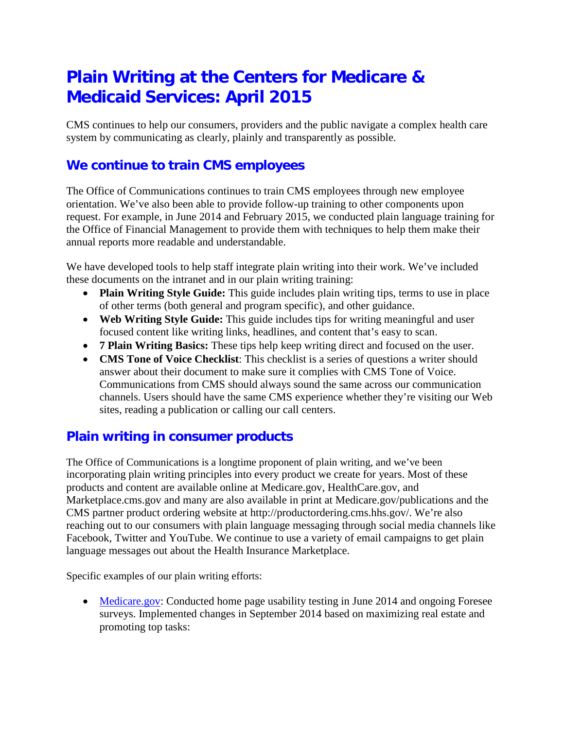# **Plain Writing at the Centers for Medicare & Medicaid Services: April 2015**

CMS continues to help our consumers, providers and the public navigate a complex health care system by communicating as clearly, plainly and transparently as possible.

### **We continue to train CMS employees**

The Office of Communications continues to train CMS employees through new employee orientation. We've also been able to provide follow-up training to other components upon request. For example, in June 2014 and February 2015, we conducted plain language training for the Office of Financial Management to provide them with techniques to help them make their annual reports more readable and understandable.

We have developed tools to help staff integrate plain writing into their work. We've included these documents on the intranet and in our plain writing training:

- **Plain Writing Style Guide:** This guide includes plain writing tips, terms to use in place of other terms (both general and program specific), and other guidance.
- **Web Writing Style Guide:** This guide includes tips for writing meaningful and user focused content like writing links, headlines, and content that's easy to scan.
- **7 Plain Writing Basics:** These tips help keep writing direct and focused on the user.
- **CMS Tone of Voice Checklist**: This checklist is a series of questions a writer should answer about their document to make sure it complies with CMS Tone of Voice. Communications from CMS should always sound the same across our communication channels. Users should have the same CMS experience whether they're visiting our Web sites, reading a publication or calling our call centers.

#### **Plain writing in consumer products**

The Office of Communications is a longtime proponent of plain writing, and we've been incorporating plain writing principles into every product we create for years. Most of these products and content are available online at Medicare.gov, HealthCare.gov, and Marketplace.cms.gov and many are also available in print at Medicare.gov/publications and the CMS partner product ordering website at http://productordering.cms.hhs.gov/. We're also reaching out to our consumers with plain language messaging through social media channels like Facebook, Twitter and YouTube. We continue to use a variety of email campaigns to get plain language messages out about the Health Insurance Marketplace.

Specific examples of our plain writing efforts:

• [Medicare.gov:](http://www.medicare.gov/) Conducted home page usability testing in June 2014 and ongoing Foresee surveys. Implemented changes in September 2014 based on maximizing real estate and promoting top tasks: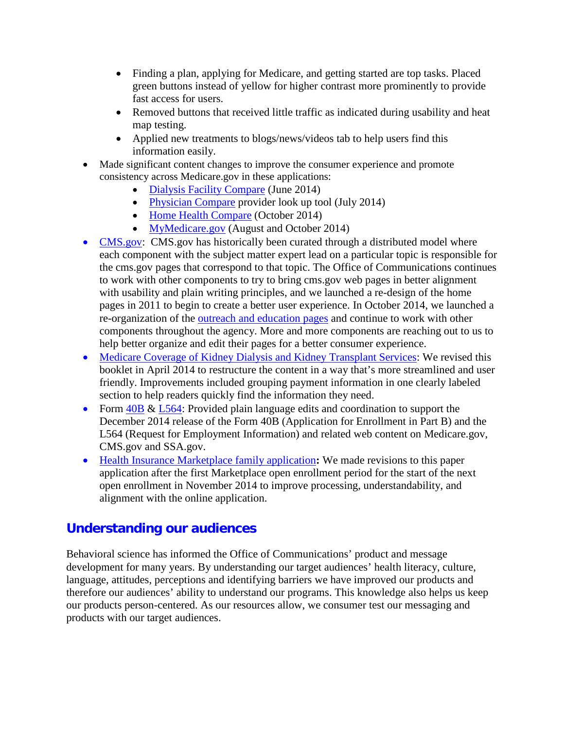- Finding a plan, applying for Medicare, and getting started are top tasks. Placed green buttons instead of yellow for higher contrast more prominently to provide fast access for users.
- Removed buttons that received little traffic as indicated during usability and heat map testing.
- Applied new treatments to blogs/news/videos tab to help users find this information easily.
- Made significant content changes to improve the consumer experience and promote consistency across Medicare.gov in these applications:
	- [Dialysis Facility Compare](http://www.medicare.gov/dialysisfacilitycompare/search.html) (June 2014)
	- [Physician Compare](http://medicare.gov/physiciancompare/search.html) provider look up tool (July 2014)
	- [Home Health Compare](http://www.medicare.gov/homehealthcompare/search.aspx) (October 2014)
	- [MyMedicare.gov](http://www.mymedicare.gov/) (August and October 2014)
- [CMS.gov:](http://www.cms.gov/) CMS.gov has historically been curated through a distributed model where each component with the subject matter expert lead on a particular topic is responsible for the cms.gov pages that correspond to that topic. The Office of Communications continues to work with other components to try to bring cms.gov web pages in better alignment with usability and plain writing principles, and we launched a re-design of the home pages in 2011 to begin to create a better user experience. In October 2014, we launched a re-organization of the [outreach and education pages](http://www.cms.gov/Outreach-and-Education/Outreach-and-Education.html) and continue to work with other components throughout the agency. More and more components are reaching out to us to help better organize and edit their pages for a better consumer experience.
- [Medicare Coverage of Kidney Dialysis and Kidney Transplant Services:](http://www.medicare.gov/Pubs/pdf/10128.pdf) We revised this booklet in April 2014 to restructure the content in a way that's more streamlined and user friendly. Improvements included grouping payment information in one clearly labeled section to help readers quickly find the information they need.
- Form [40B](http://www.cms.gov/Medicare/CMS-Forms/CMS-Forms/CMS-Forms-Items/CMS017339.html) & [L564:](http://www.cms.gov/Medicare/CMS-Forms/CMS-Forms/CMS-Forms-Items/CMS009718.html) Provided plain language edits and coordination to support the December 2014 release of the Form 40B (Application for Enrollment in Part B) and the L564 (Request for Employment Information) and related web content on Medicare.gov, CMS.gov and SSA.gov.
- [Health Insurance Marketplace family application](https://marketplace.cms.gov/applications-and-forms/marketplace-application-for-family.pdf)**:** We made revisions to this paper application after the first Marketplace open enrollment period for the start of the next open enrollment in November 2014 to improve processing, understandability, and alignment with the online application.

# **Understanding our audiences**

Behavioral science has informed the Office of Communications' product and message development for many years. By understanding our target audiences' health literacy, culture, language, attitudes, perceptions and identifying barriers we have improved our products and therefore our audiences' ability to understand our programs. This knowledge also helps us keep our products person-centered. As our resources allow, we consumer test our messaging and products with our target audiences.